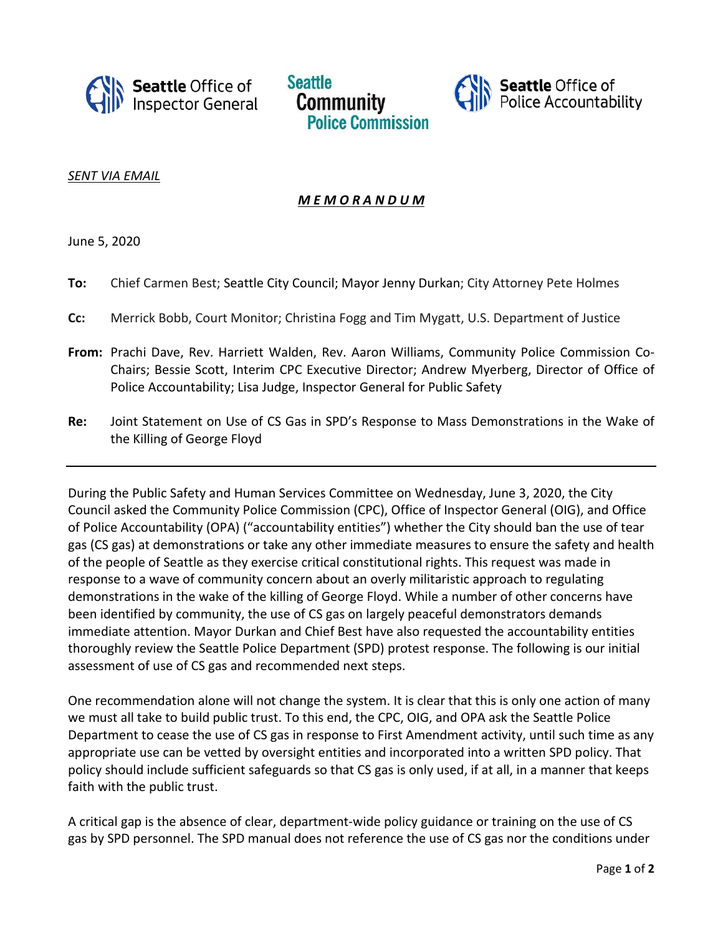





*SENT VIA EMAIL*

## *M E M O R A N D U M*

June 5, 2020

- **To:** Chief Carmen Best; Seattle City Council; Mayor Jenny Durkan; City Attorney Pete Holmes
- **Cc:** Merrick Bobb, Court Monitor; Christina Fogg and Tim Mygatt, U.S. Department of Justice
- **From:** Prachi Dave, Rev. Harriett Walden, Rev. Aaron Williams, Community Police Commission Co-Chairs; Bessie Scott, Interim CPC Executive Director; Andrew Myerberg, Director of Office of Police Accountability; Lisa Judge, Inspector General for Public Safety
- **Re:** Joint Statement on Use of CS Gas in SPD's Response to Mass Demonstrations in the Wake of the Killing of George Floyd

During the Public Safety and Human Services Committee on Wednesday, June 3, 2020, the City Council asked the Community Police Commission (CPC), Office of Inspector General (OIG), and Office of Police Accountability (OPA) ("accountability entities") whether the City should ban the use of tear gas (CS gas) at demonstrations or take any other immediate measures to ensure the safety and health of the people of Seattle as they exercise critical constitutional rights. This request was made in response to a wave of community concern about an overly militaristic approach to regulating demonstrations in the wake of the killing of George Floyd. While a number of other concerns have been identified by community, the use of CS gas on largely peaceful demonstrators demands immediate attention. Mayor Durkan and Chief Best have also requested the accountability entities thoroughly review the Seattle Police Department (SPD) protest response. The following is our initial assessment of use of CS gas and recommended next steps.

One recommendation alone will not change the system. It is clear that this is only one action of many we must all take to build public trust. To this end, the CPC, OIG, and OPA ask the Seattle Police Department to cease the use of CS gas in response to First Amendment activity, until such time as any appropriate use can be vetted by oversight entities and incorporated into a written SPD policy. That policy should include sufficient safeguards so that CS gas is only used, if at all, in a manner that keeps faith with the public trust.

A critical gap is the absence of clear, department-wide policy guidance or training on the use of CS gas by SPD personnel. The SPD manual does not reference the use of CS gas nor the conditions under